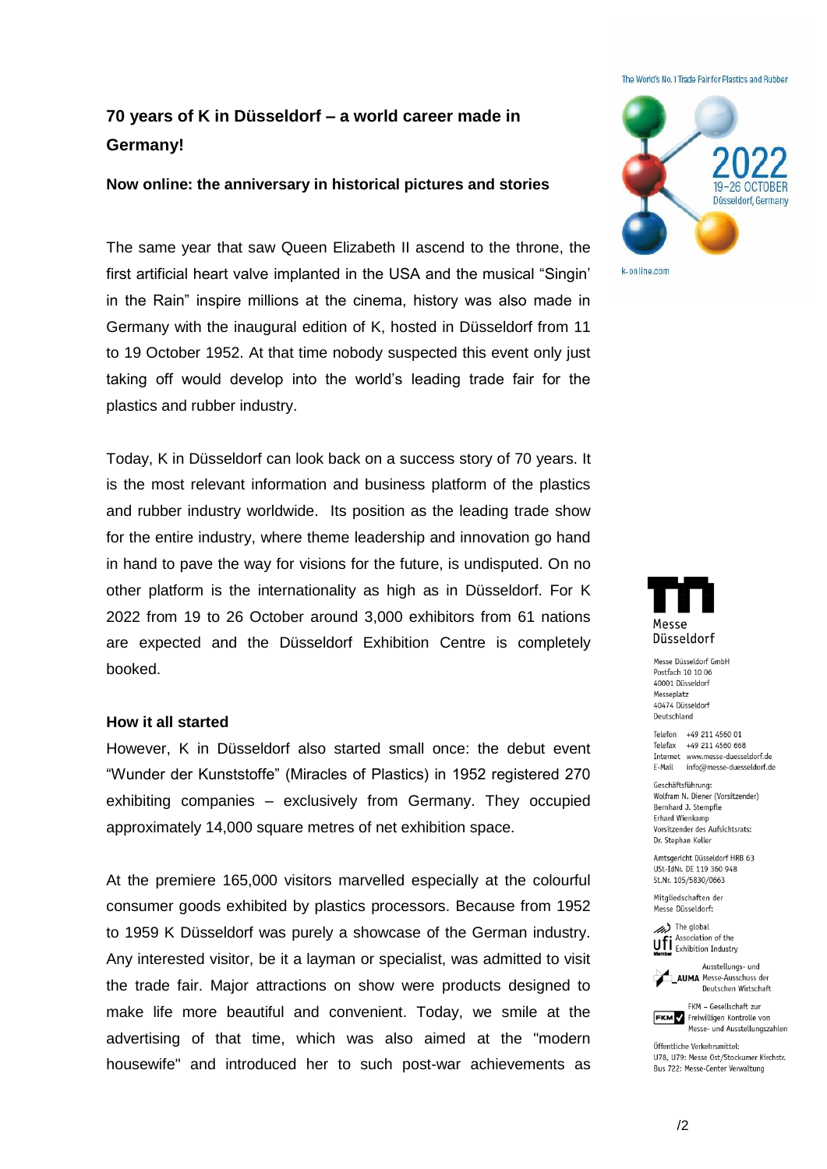#### The World's No. 1 Trade Fair for Plastics and Rubber

# **70 years of K in Düsseldorf – a world career made in Germany!**

## **Now online: the anniversary in historical pictures and stories**

The same year that saw Queen Elizabeth II ascend to the throne, the first artificial heart valve implanted in the USA and the musical "Singin' in the Rain" inspire millions at the cinema, history was also made in Germany with the inaugural edition of K, hosted in Düsseldorf from 11 to 19 October 1952. At that time nobody suspected this event only just taking off would develop into the world's leading trade fair for the plastics and rubber industry.

Today, K in Düsseldorf can look back on a success story of 70 years. It is the most relevant information and business platform of the plastics and rubber industry worldwide. Its position as the leading trade show for the entire industry, where theme leadership and innovation go hand in hand to pave the way for visions for the future, is undisputed. On no other platform is the internationality as high as in Düsseldorf. For K 2022 from 19 to 26 October around 3,000 exhibitors from 61 nations are expected and the Düsseldorf Exhibition Centre is completely booked.

## **How it all started**

However, K in Düsseldorf also started small once: the debut event "Wunder der Kunststoffe" (Miracles of Plastics) in 1952 registered 270 exhibiting companies – exclusively from Germany. They occupied approximately 14,000 square metres of net exhibition space.

At the premiere 165,000 visitors marvelled especially at the colourful consumer goods exhibited by plastics processors. Because from 1952 to 1959 K Düsseldorf was purely a showcase of the German industry. Any interested visitor, be it a layman or specialist, was admitted to visit the trade fair. Major attractions on show were products designed to make life more beautiful and convenient. Today, we smile at the advertising of that time, which was also aimed at the "modern housewife" and introduced her to such post-war achievements as





Messe Diisseldorf GmbH Postfach 10 10 06 40001 Düsseldorf Messeplatz 40474 Düsseldorf Deutschland

Telefon +49 211 4560 01 Telefax +49 211 4560 668 Internet www.messe-duesseldorf.de E-Mail info@messe-duesseldorf.de

Geschäftsführung: Wolfram N. Diener (Vorsitzender) Bernhard J. Stempfle Erhard Wienkamp Vorsitzender des Aufsichtsrats: Dr. Stephan Keller

Amtsgericht Düsseldorf HRB 63 USt-IdNr. DE 119 360 948 St.Nr. 105/5830/0663

Mitgliedschaften der Messe Diisseldorf:

> The global Association of the **Uff** Association of the<br>**Member** Exhibition Industry



Deutschen Wirtschaft FKM - Gesellschaft zur

FKM Freiwilligen Kontrolle von Messe- und Ausstellungszahlen

Öffentliche Verkehrsmittel: U78, U79: Messe Ost/Stockumer Kirchstr. Bus 722: Messe-Center Verwaltung